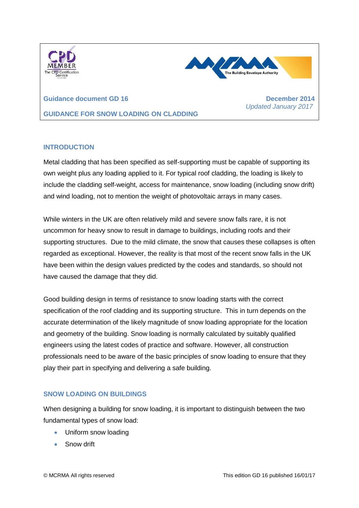



 *Updated January 2017*

**Guidance document GD 16 December 2014 GUIDANCE FOR SNOW LOADING ON CLADDING**

# **INTRODUCTION**

Metal cladding that has been specified as self-supporting must be capable of supporting its own weight plus any loading applied to it. For typical roof cladding, the loading is likely to include the cladding self-weight, access for maintenance, snow loading (including snow drift) and wind loading, not to mention the weight of photovoltaic arrays in many cases.

While winters in the UK are often relatively mild and severe snow falls rare, it is not uncommon for heavy snow to result in damage to buildings, including roofs and their supporting structures. Due to the mild climate, the snow that causes these collapses is often regarded as exceptional. However, the reality is that most of the recent snow falls in the UK have been within the design values predicted by the codes and standards, so should not have caused the damage that they did.

Good building design in terms of resistance to snow loading starts with the correct specification of the roof cladding and its supporting structure. This in turn depends on the accurate determination of the likely magnitude of snow loading appropriate for the location and geometry of the building. Snow loading is normally calculated by suitably qualified engineers using the latest codes of practice and software. However, all construction professionals need to be aware of the basic principles of snow loading to ensure that they play their part in specifying and delivering a safe building.

## **SNOW LOADING ON BUILDINGS**

When designing a building for snow loading, it is important to distinguish between the two fundamental types of snow load:

- Uniform snow loading
- **Snow drift**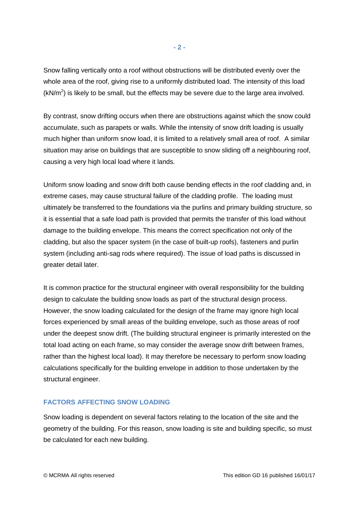Snow falling vertically onto a roof without obstructions will be distributed evenly over the whole area of the roof, giving rise to a uniformly distributed load. The intensity of this load  $(kN/m<sup>2</sup>)$  is likely to be small, but the effects may be severe due to the large area involved.

By contrast, snow drifting occurs when there are obstructions against which the snow could accumulate, such as parapets or walls. While the intensity of snow drift loading is usually much higher than uniform snow load, it is limited to a relatively small area of roof. A similar situation may arise on buildings that are susceptible to snow sliding off a neighbouring roof, causing a very high local load where it lands.

Uniform snow loading and snow drift both cause bending effects in the roof cladding and, in extreme cases, may cause structural failure of the cladding profile. The loading must ultimately be transferred to the foundations via the purlins and primary building structure, so it is essential that a safe load path is provided that permits the transfer of this load without damage to the building envelope. This means the correct specification not only of the cladding, but also the spacer system (in the case of built-up roofs), fasteners and purlin system (including anti-sag rods where required). The issue of load paths is discussed in greater detail later.

It is common practice for the structural engineer with overall responsibility for the building design to calculate the building snow loads as part of the structural design process. However, the snow loading calculated for the design of the frame may ignore high local forces experienced by small areas of the building envelope, such as those areas of roof under the deepest snow drift. (The building structural engineer is primarily interested on the total load acting on each frame, so may consider the average snow drift between frames, rather than the highest local load). It may therefore be necessary to perform snow loading calculations specifically for the building envelope in addition to those undertaken by the structural engineer.

#### **FACTORS AFFECTING SNOW LOADING**

Snow loading is dependent on several factors relating to the location of the site and the geometry of the building. For this reason, snow loading is site and building specific, so must be calculated for each new building.

**- 2 -**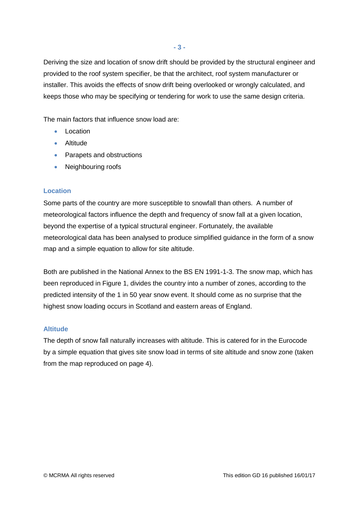Deriving the size and location of snow drift should be provided by the structural engineer and provided to the roof system specifier, be that the architect, roof system manufacturer or installer. This avoids the effects of snow drift being overlooked or wrongly calculated, and keeps those who may be specifying or tendering for work to use the same design criteria.

The main factors that influence snow load are:

- Location
- **•** Altitude
- Parapets and obstructions
- Neighbouring roofs

# **Location**

Some parts of the country are more susceptible to snowfall than others. A number of meteorological factors influence the depth and frequency of snow fall at a given location, beyond the expertise of a typical structural engineer. Fortunately, the available meteorological data has been analysed to produce simplified guidance in the form of a snow map and a simple equation to allow for site altitude.

Both are published in the National Annex to the BS EN 1991-1-3. The snow map, which has been reproduced in Figure 1, divides the country into a number of zones, according to the predicted intensity of the 1 in 50 year snow event. It should come as no surprise that the highest snow loading occurs in Scotland and eastern areas of England.

## **Altitude**

The depth of snow fall naturally increases with altitude. This is catered for in the Eurocode by a simple equation that gives site snow load in terms of site altitude and snow zone (taken from the map reproduced on page 4).

**- 3 -**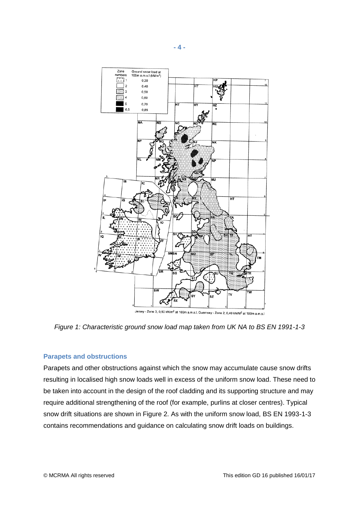

*Figure 1: Characteristic ground snow load map taken from UK NA to BS EN 1991-1-3*

#### **Parapets and obstructions**

Parapets and other obstructions against which the snow may accumulate cause snow drifts resulting in localised high snow loads well in excess of the uniform snow load. These need to be taken into account in the design of the roof cladding and its supporting structure and may require additional strengthening of the roof (for example, purlins at closer centres). Typical snow drift situations are shown in Figure 2. As with the uniform snow load, BS EN 1993-1-3 contains recommendations and guidance on calculating snow drift loads on buildings.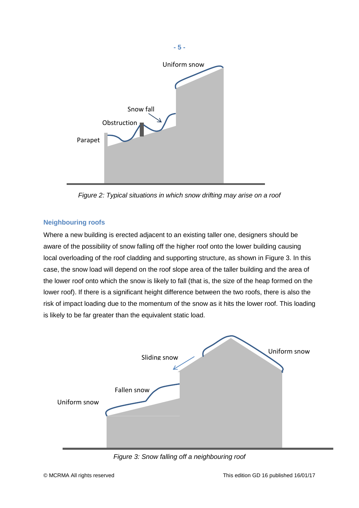

*Figure 2: Typical situations in which snow drifting may arise on a roof*

# **Neighbouring roofs**

Where a new building is erected adjacent to an existing taller one, designers should be aware of the possibility of snow falling off the higher roof onto the lower building causing local overloading of the roof cladding and supporting structure, as shown in Figure 3. In this case, the snow load will depend on the roof slope area of the taller building and the area of the lower roof onto which the snow is likely to fall (that is, the size of the heap formed on the lower roof). If there is a significant height difference between the two roofs, there is also the risk of impact loading due to the momentum of the snow as it hits the lower roof. This loading is likely to be far greater than the equivalent static load.



*Figure 3: Snow falling off a neighbouring roof*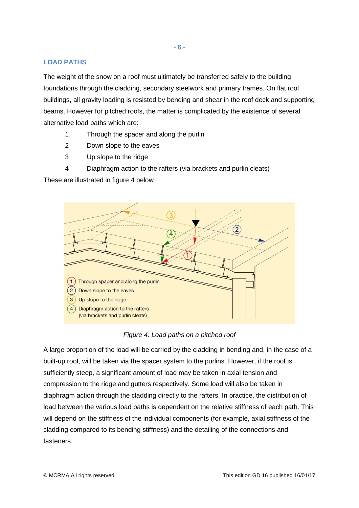## **LOAD PATHS**

The weight of the snow on a roof must ultimately be transferred safely to the building foundations through the cladding, secondary steelwork and primary frames. On flat roof buildings, all gravity loading is resisted by bending and shear in the roof deck and supporting beams. However for pitched roofs, the matter is complicated by the existence of several alternative load paths which are:

- 1 Through the spacer and along the purlin
- 2 Down slope to the eaves
- 3 Up slope to the ridge
- 4 Diaphragm action to the rafters (via brackets and purlin cleats)

These are illustrated in figure 4 below



*Figure 4: Load paths on a pitched roof*

A large proportion of the load will be carried by the cladding in bending and, in the case of a built-up roof, will be taken via the spacer system to the purlins. However, if the roof is sufficiently steep, a significant amount of load may be taken in axial tension and compression to the ridge and gutters respectively. Some load will also be taken in diaphragm action through the cladding directly to the rafters. In practice, the distribution of load between the various load paths is dependent on the relative stiffness of each path. This will depend on the stiffness of the individual components (for example, axial stiffness of the cladding compared to its bending stiffness) and the detailing of the connections and fasteners.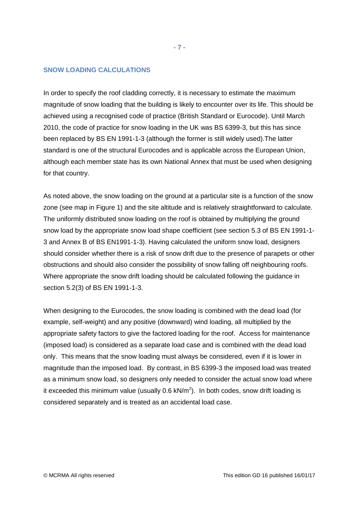#### **SNOW LOADING CALCULATIONS**

In order to specify the roof cladding correctly, it is necessary to estimate the maximum magnitude of snow loading that the building is likely to encounter over its life. This should be achieved using a recognised code of practice (British Standard or Eurocode). Until March 2010, the code of practice for snow loading in the UK was BS 6399-3, but this has since been replaced by BS EN 1991-1-3 (although the former is still widely used).The latter standard is one of the structural Eurocodes and is applicable across the European Union, although each member state has its own National Annex that must be used when designing for that country.

As noted above, the snow loading on the ground at a particular site is a function of the snow zone (see map in Figure 1) and the site altitude and is relatively straightforward to calculate. The uniformly distributed snow loading on the roof is obtained by multiplying the ground snow load by the appropriate snow load shape coefficient (see section 5.3 of BS EN 1991-1- 3 and Annex B of BS EN1991-1-3). Having calculated the uniform snow load, designers should consider whether there is a risk of snow drift due to the presence of parapets or other obstructions and should also consider the possibility of snow falling off neighbouring roofs. Where appropriate the snow drift loading should be calculated following the guidance in section 5.2(3) of BS EN 1991-1-3.

When designing to the Eurocodes, the snow loading is combined with the dead load (for example, self-weight) and any positive (downward) wind loading, all multiplied by the appropriate safety factors to give the factored loading for the roof. Access for maintenance (imposed load) is considered as a separate load case and is combined with the dead load only. This means that the snow loading must always be considered, even if it is lower in magnitude than the imposed load. By contrast, in BS 6399-3 the imposed load was treated as a minimum snow load, so designers only needed to consider the actual snow load where it exceeded this minimum value (usually 0.6 kN/m<sup>2</sup>). In both codes, snow drift loading is considered separately and is treated as an accidental load case.

**- 7 -**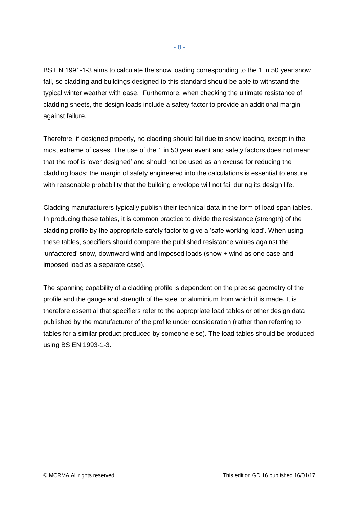BS EN 1991-1-3 aims to calculate the snow loading corresponding to the 1 in 50 year snow fall, so cladding and buildings designed to this standard should be able to withstand the typical winter weather with ease. Furthermore, when checking the ultimate resistance of cladding sheets, the design loads include a safety factor to provide an additional margin against failure.

Therefore, if designed properly, no cladding should fail due to snow loading, except in the most extreme of cases. The use of the 1 in 50 year event and safety factors does not mean that the roof is 'over designed' and should not be used as an excuse for reducing the cladding loads; the margin of safety engineered into the calculations is essential to ensure with reasonable probability that the building envelope will not fail during its design life.

Cladding manufacturers typically publish their technical data in the form of load span tables. In producing these tables, it is common practice to divide the resistance (strength) of the cladding profile by the appropriate safety factor to give a 'safe working load'. When using these tables, specifiers should compare the published resistance values against the 'unfactored' snow, downward wind and imposed loads (snow + wind as one case and imposed load as a separate case).

The spanning capability of a cladding profile is dependent on the precise geometry of the profile and the gauge and strength of the steel or aluminium from which it is made. It is therefore essential that specifiers refer to the appropriate load tables or other design data published by the manufacturer of the profile under consideration (rather than referring to tables for a similar product produced by someone else). The load tables should be produced using BS EN 1993-1-3.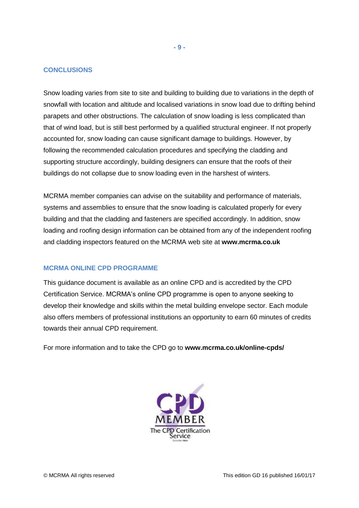#### **CONCLUSIONS**

Snow loading varies from site to site and building to building due to variations in the depth of snowfall with location and altitude and localised variations in snow load due to drifting behind parapets and other obstructions. The calculation of snow loading is less complicated than that of wind load, but is still best performed by a qualified structural engineer. If not properly accounted for, snow loading can cause significant damage to buildings. However, by following the recommended calculation procedures and specifying the cladding and supporting structure accordingly, building designers can ensure that the roofs of their buildings do not collapse due to snow loading even in the harshest of winters.

MCRMA member companies can advise on the suitability and performance of materials, systems and assemblies to ensure that the snow loading is calculated properly for every building and that the cladding and fasteners are specified accordingly. In addition, snow loading and roofing design information can be obtained from any of the independent roofing and cladding inspectors featured on the MCRMA web site at **[www.mcrma.co.uk](http://www.mcrma.co.uk/)**

## **MCRMA ONLINE CPD PROGRAMME**

This guidance document is available as an online CPD and is accredited by the CPD Certification Service. MCRMA's online CPD programme is open to anyone seeking to develop their knowledge and skills within the metal building envelope sector. Each module also offers members of professional institutions an opportunity to earn 60 minutes of credits towards their annual CPD requirement.

For more information and to take the CPD go to **[www.mcrma.co.uk/online-cpds/](http://www.mcrma.co.uk/online-cpds/)**